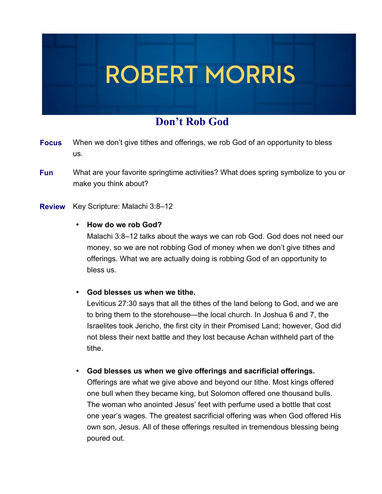## **ROBERT MORRIS**

## **Don't Rob God**

- When we don't give tithes and offerings, we rob God of an opportunity to bless us. **Focus**
- What are your favorite springtime activities? What does spring symbolize to you or make you think about? **Open Fun**
- Key Scripture: Malachi 3:8–12 **Review**

## • **How do we rob God?**

Malachi 3:8–12 talks about the ways we can rob God. God does not need our money, so we are not robbing God of money when we don't give tithes and offerings. What we are actually doing is robbing God of an opportunity to bless us.

• **God blesses us when we tithe.**

Leviticus 27:30 says that all the tithes of the land belong to God, and we are to bring them to the storehouse—the local church. In Joshua 6 and 7, the Israelites took Jericho, the first city in their Promised Land; however, God did not bless their next battle and they lost because Achan withheld part of the tithe.

• **God blesses us when we give offerings and sacrificial offerings.**

Offerings are what we give above and beyond our tithe. Most kings offered one bull when they became king, but Solomon offered one thousand bulls. The woman who anointed Jesus' feet with perfume used a bottle that cost one year's wages. The greatest sacrificial offering was when God offered His own son, Jesus. All of these offerings resulted in tremendous blessing being poured out.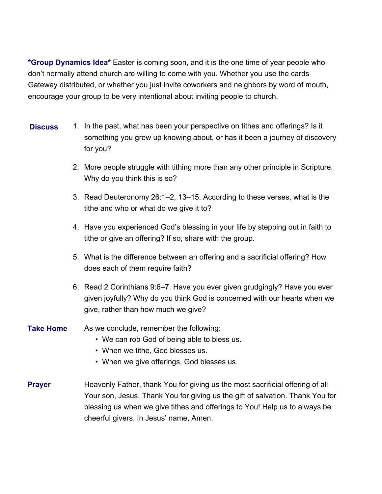**\*Group Dynamics Idea\*** Easter is coming soon, and it is the one time of year people who don't normally attend church are willing to come with you. Whether you use the cards Gateway distributed, or whether you just invite coworkers and neighbors by word of mouth, encourage your group to be very intentional about inviting people to church.

- 1. In the past, what has been your perspective on tithes and offerings? Is it something you grew up knowing about, or has it been a journey of discovery for you? **Discuss**
	- 2. More people struggle with tithing more than any other principle in Scripture. Why do you think this is so?
	- 3. Read Deuteronomy 26:1–2, 13–15. According to these verses, what is the tithe and who or what do we give it to?
	- 4. Have you experienced God's blessing in your life by stepping out in faith to tithe or give an offering? If so, share with the group.
	- 5. What is the difference between an offering and a sacrificial offering? How does each of them require faith?
	- 6. Read 2 Corinthians 9:6–7. Have you ever given grudgingly? Have you ever given joyfully? Why do you think God is concerned with our hearts when we give, rather than how much we give?
- As we conclude, remember the following: **Take Home**
	- We can rob God of being able to bless us.
	- When we tithe, God blesses us.
	- When we give offerings, God blesses us.
- Heavenly Father, thank You for giving us the most sacrificial offering of all— Your son, Jesus. Thank You for giving us the gift of salvation. Thank You for blessing us when we give tithes and offerings to You! Help us to always be cheerful givers. In Jesus' name, Amen. **Prayer**